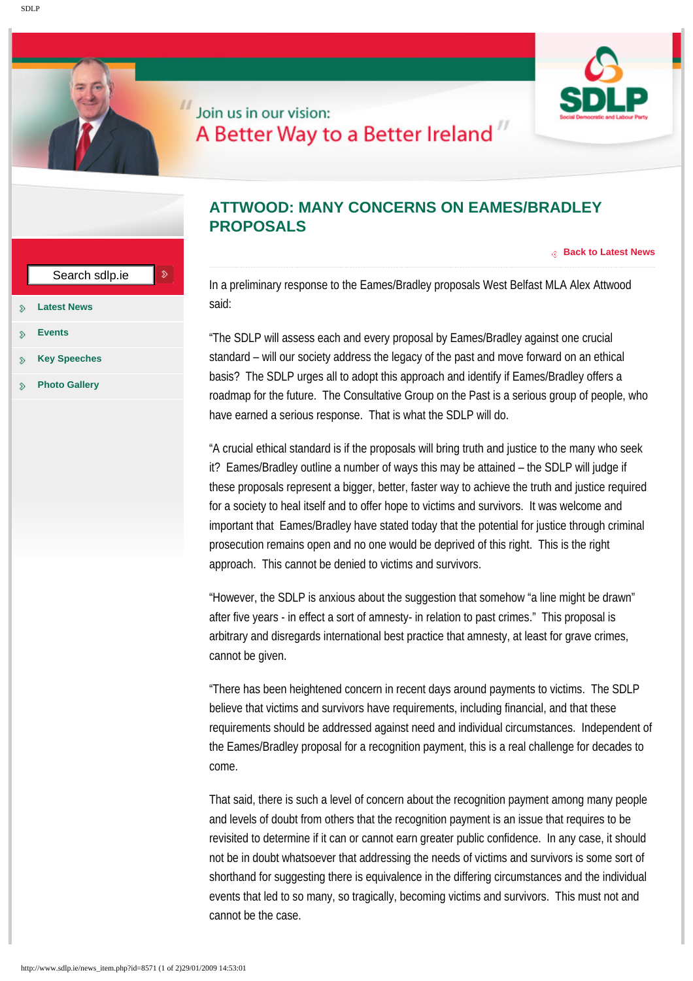

## Join us in our vision: A Better Way to a Better Ireland"

|                                                                      | Search sdlp.ie<br>D  |                                                                                    |
|----------------------------------------------------------------------|----------------------|------------------------------------------------------------------------------------|
| ÷                                                                    | <b>Latest News</b>   | In a pre<br>said:                                                                  |
| ≫<br>ℌ                                                               | <b>Events</b>        | "The SD                                                                            |
| ℌ                                                                    | <b>Key Speeches</b>  | standar<br>basis?<br>roadma<br>have ea                                             |
| u<br>s.                                                              | <b>Photo Gallery</b> |                                                                                    |
|                                                                      |                      | "A cruci<br>it? Eam<br>these pr<br>for a so<br>importal<br>prosecu<br>approac      |
|                                                                      |                      | "Howev<br>after five<br>arbitrary<br>cannot l                                      |
|                                                                      |                      | "There h<br>believe<br>requirer<br>the Eam<br>come.                                |
|                                                                      |                      | That sai<br>and leve<br>revisited<br>not be in<br>shorthar<br>events t<br>cannot l |
| http://www.sdlp.ie/news_item.php?id=8571 (1 of 2)29/01/2009 14:53:01 |                      |                                                                                    |

## **ATTWOOD: MANY CONCERNS ON EAMES/BRADLEY PROPOSALS**

**[Back to Latest News](http://www.sdlp.ie/news.php)**

In a preliminary response to the Eames/Bradley proposals West Belfast MLA Alex Attwood said:

"The SDLP will assess each and every proposal by Eames/Bradley against one crucial standard – will our society address the legacy of the past and move forward on an ethical basis? The SDLP urges all to adopt this approach and identify if Eames/Bradley offers a roadmap for the future. The Consultative Group on the Past is a serious group of people, who have earned a serious response. That is what the SDLP will do.

"A crucial ethical standard is if the proposals will bring truth and justice to the many who seek it? Eames/Bradley outline a number of ways this may be attained – the SDLP will judge if these proposals represent a bigger, better, faster way to achieve the truth and justice required for a society to heal itself and to offer hope to victims and survivors. It was welcome and important that Eames/Bradley have stated today that the potential for justice through criminal prosecution remains open and no one would be deprived of this right. This is the right approach. This cannot be denied to victims and survivors.

"However, the SDLP is anxious about the suggestion that somehow "a line might be drawn" after five years - in effect a sort of amnesty- in relation to past crimes." This proposal is arbitrary and disregards international best practice that amnesty, at least for grave crimes, cannot be given.

"There has been heightened concern in recent days around payments to victims. The SDLP believe that victims and survivors have requirements, including financial, and that these requirements should be addressed against need and individual circumstances. Independent of the Eames/Bradley proposal for a recognition payment, this is a real challenge for decades to come.

That said, there is such a level of concern about the recognition payment among many people and levels of doubt from others that the recognition payment is an issue that requires to be revisited to determine if it can or cannot earn greater public confidence. In any case, it should not be in doubt whatsoever that addressing the needs of victims and survivors is some sort of shorthand for suggesting there is equivalence in the differing circumstances and the individual events that led to so many, so tragically, becoming victims and survivors. This must not and cannot be the case.